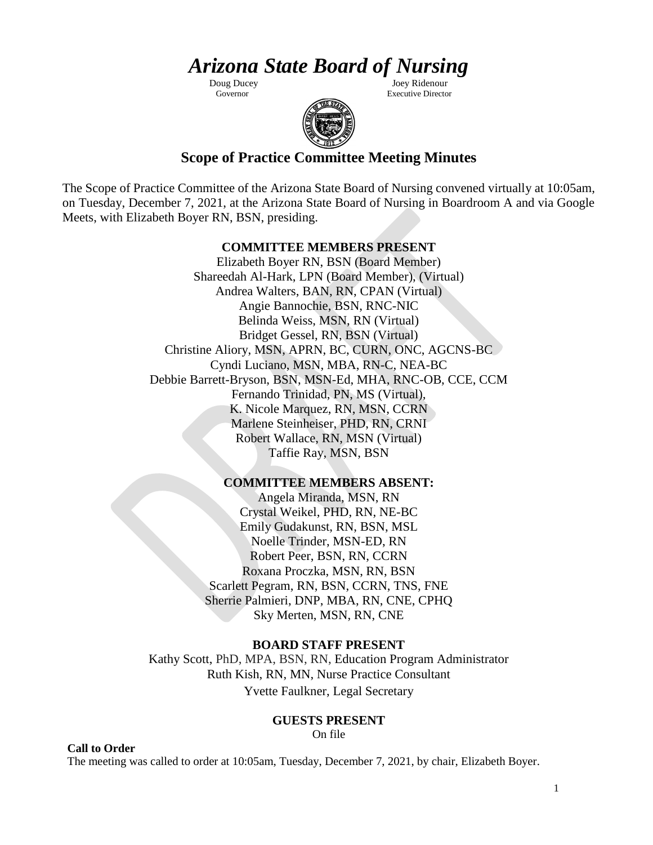# *Arizona State Board of Nursing*

Doug Ducey Joey Ridenour<br>Governor Birecto Birecto **Executive Director** 



## **Scope of Practice Committee Meeting Minutes**

The Scope of Practice Committee of the Arizona State Board of Nursing convened virtually at 10:05am, on Tuesday, December 7, 2021, at the Arizona State Board of Nursing in Boardroom A and via Google Meets, with Elizabeth Boyer RN, BSN, presiding.

### **COMMITTEE MEMBERS PRESENT**

Elizabeth Boyer RN, BSN (Board Member) Shareedah Al-Hark, LPN (Board Member), (Virtual) Andrea Walters, BAN, RN, CPAN (Virtual) Angie Bannochie, BSN, RNC-NIC Belinda Weiss, MSN, RN (Virtual) Bridget Gessel, RN, BSN (Virtual) Christine Aliory, MSN, APRN, BC, CURN, ONC, AGCNS-BC Cyndi Luciano, MSN, MBA, RN-C, NEA-BC Debbie Barrett-Bryson, BSN, MSN-Ed, MHA, RNC-OB, CCE, CCM Fernando Trinidad, PN, MS (Virtual), K. Nicole Marquez, RN, MSN, CCRN Marlene Steinheiser, PHD, RN, CRNI Robert Wallace, RN, MSN (Virtual) Taffie Ray, MSN, BSN

### **COMMITTEE MEMBERS ABSENT:**

Angela Miranda, MSN, RN Crystal Weikel, PHD, RN, NE-BC Emily Gudakunst, RN, BSN, MSL Noelle Trinder, MSN-ED, RN Robert Peer, BSN, RN, CCRN Roxana Proczka, MSN, RN, BSN Scarlett Pegram, RN, BSN, CCRN, TNS, FNE Sherrie Palmieri, DNP, MBA, RN, CNE, CPHQ Sky Merten, MSN, RN, CNE

### **BOARD STAFF PRESENT**

Kathy Scott, PhD, MPA, BSN, RN, Education Program Administrator Ruth Kish, RN, MN, Nurse Practice Consultant Yvette Faulkner, Legal Secretary

### **GUESTS PRESENT**

On file

The meeting was called to order at 10:05am, Tuesday, December 7, 2021, by chair, Elizabeth Boyer.

**Call to Order**

1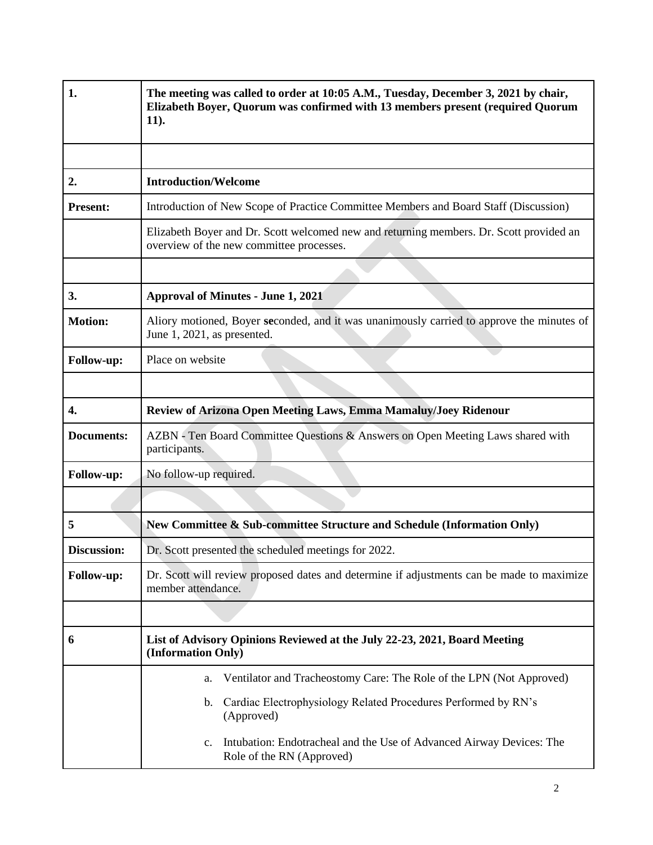| 1.                 | The meeting was called to order at 10:05 A.M., Tuesday, December 3, 2021 by chair,<br>Elizabeth Boyer, Quorum was confirmed with 13 members present (required Quorum<br>$11$ ). |  |
|--------------------|---------------------------------------------------------------------------------------------------------------------------------------------------------------------------------|--|
|                    |                                                                                                                                                                                 |  |
| 2.                 | <b>Introduction/Welcome</b>                                                                                                                                                     |  |
| <b>Present:</b>    | Introduction of New Scope of Practice Committee Members and Board Staff (Discussion)                                                                                            |  |
|                    | Elizabeth Boyer and Dr. Scott welcomed new and returning members. Dr. Scott provided an<br>overview of the new committee processes.                                             |  |
|                    |                                                                                                                                                                                 |  |
| 3.                 | <b>Approval of Minutes - June 1, 2021</b>                                                                                                                                       |  |
| <b>Motion:</b>     | Aliory motioned, Boyer seconded, and it was unanimously carried to approve the minutes of<br>June 1, 2021, as presented.                                                        |  |
| Follow-up:         | Place on website                                                                                                                                                                |  |
|                    |                                                                                                                                                                                 |  |
| 4.                 | Review of Arizona Open Meeting Laws, Emma Mamaluy/Joey Ridenour                                                                                                                 |  |
| <b>Documents:</b>  | AZBN - Ten Board Committee Questions & Answers on Open Meeting Laws shared with<br>participants.                                                                                |  |
| Follow-up:         | No follow-up required.                                                                                                                                                          |  |
|                    |                                                                                                                                                                                 |  |
| 5                  | New Committee & Sub-committee Structure and Schedule (Information Only)                                                                                                         |  |
| <b>Discussion:</b> | Dr. Scott presented the scheduled meetings for 2022.                                                                                                                            |  |
| Follow-up:         | Dr. Scott will review proposed dates and determine if adjustments can be made to maximize<br>member attendance.                                                                 |  |
|                    |                                                                                                                                                                                 |  |
| 6                  | List of Advisory Opinions Reviewed at the July 22-23, 2021, Board Meeting<br>(Information Only)                                                                                 |  |
|                    | Ventilator and Tracheostomy Care: The Role of the LPN (Not Approved)<br>a.                                                                                                      |  |
|                    | Cardiac Electrophysiology Related Procedures Performed by RN's<br>$\mathbf{b}$ .<br>(Approved)                                                                                  |  |
|                    | Intubation: Endotracheal and the Use of Advanced Airway Devices: The<br>c.<br>Role of the RN (Approved)                                                                         |  |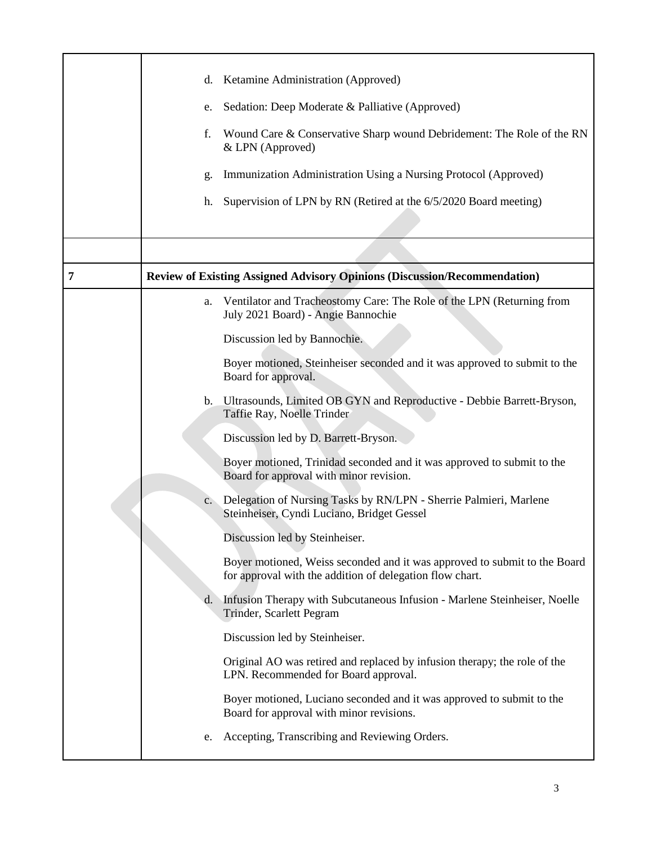|   | d.             | Ketamine Administration (Approved)                                                                                                    |
|---|----------------|---------------------------------------------------------------------------------------------------------------------------------------|
|   | e.             | Sedation: Deep Moderate & Palliative (Approved)                                                                                       |
|   | f.             | Wound Care & Conservative Sharp wound Debridement: The Role of the RN<br>& LPN (Approved)                                             |
|   | g.             | Immunization Administration Using a Nursing Protocol (Approved)                                                                       |
|   | h.             | Supervision of LPN by RN (Retired at the 6/5/2020 Board meeting)                                                                      |
|   |                |                                                                                                                                       |
| 7 |                | <b>Review of Existing Assigned Advisory Opinions (Discussion/Recommendation)</b>                                                      |
|   | a.             | Ventilator and Tracheostomy Care: The Role of the LPN (Returning from<br>July 2021 Board) - Angie Bannochie                           |
|   |                | Discussion led by Bannochie.                                                                                                          |
|   |                | Boyer motioned, Steinheiser seconded and it was approved to submit to the<br>Board for approval.                                      |
|   |                | b. Ultrasounds, Limited OB GYN and Reproductive - Debbie Barrett-Bryson,<br>Taffie Ray, Noelle Trinder                                |
|   |                | Discussion led by D. Barrett-Bryson.                                                                                                  |
|   |                | Boyer motioned, Trinidad seconded and it was approved to submit to the<br>Board for approval with minor revision.                     |
|   | $\mathbf{c}$ . | Delegation of Nursing Tasks by RN/LPN - Sherrie Palmieri, Marlene<br>Steinheiser, Cyndi Luciano, Bridget Gessel                       |
|   |                | Discussion led by Steinheiser.                                                                                                        |
|   |                | Boyer motioned, Weiss seconded and it was approved to submit to the Board<br>for approval with the addition of delegation flow chart. |
|   | d.             | Infusion Therapy with Subcutaneous Infusion - Marlene Steinheiser, Noelle<br>Trinder, Scarlett Pegram                                 |
|   |                | Discussion led by Steinheiser.                                                                                                        |
|   |                | Original AO was retired and replaced by infusion therapy; the role of the<br>LPN. Recommended for Board approval.                     |
|   |                | Boyer motioned, Luciano seconded and it was approved to submit to the<br>Board for approval with minor revisions.                     |
|   | e.             | Accepting, Transcribing and Reviewing Orders.                                                                                         |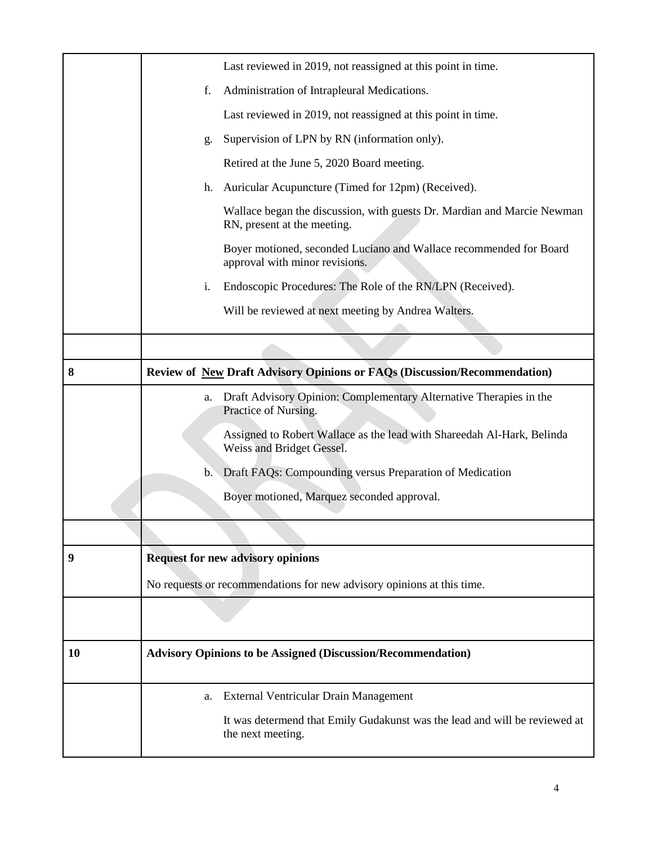|    | Last reviewed in 2019, not reassigned at this point in time.                                           |
|----|--------------------------------------------------------------------------------------------------------|
|    | Administration of Intrapleural Medications.<br>f.                                                      |
|    | Last reviewed in 2019, not reassigned at this point in time.                                           |
|    | Supervision of LPN by RN (information only).<br>g.                                                     |
|    | Retired at the June 5, 2020 Board meeting.                                                             |
|    | Auricular Acupuncture (Timed for 12pm) (Received).<br>h.                                               |
|    | Wallace began the discussion, with guests Dr. Mardian and Marcie Newman<br>RN, present at the meeting. |
|    | Boyer motioned, seconded Luciano and Wallace recommended for Board<br>approval with minor revisions.   |
|    | Endoscopic Procedures: The Role of the RN/LPN (Received).<br>i.                                        |
|    | Will be reviewed at next meeting by Andrea Walters.                                                    |
|    |                                                                                                        |
| 8  | <b>Review of New Draft Advisory Opinions or FAQs (Discussion/Recommendation)</b>                       |
|    | Draft Advisory Opinion: Complementary Alternative Therapies in the<br>a.<br>Practice of Nursing.       |
|    | Assigned to Robert Wallace as the lead with Shareedah Al-Hark, Belinda<br>Weiss and Bridget Gessel.    |
|    | Draft FAQs: Compounding versus Preparation of Medication<br>$\mathbf{b}$ .                             |
|    | Boyer motioned, Marquez seconded approval.                                                             |
|    |                                                                                                        |
| 9  | <b>Request for new advisory opinions</b>                                                               |
|    | No requests or recommendations for new advisory opinions at this time.                                 |
|    |                                                                                                        |
|    |                                                                                                        |
| 10 | <b>Advisory Opinions to be Assigned (Discussion/Recommendation)</b>                                    |
|    | External Ventricular Drain Management<br>a.                                                            |
|    | It was determend that Emily Gudakunst was the lead and will be reviewed at                             |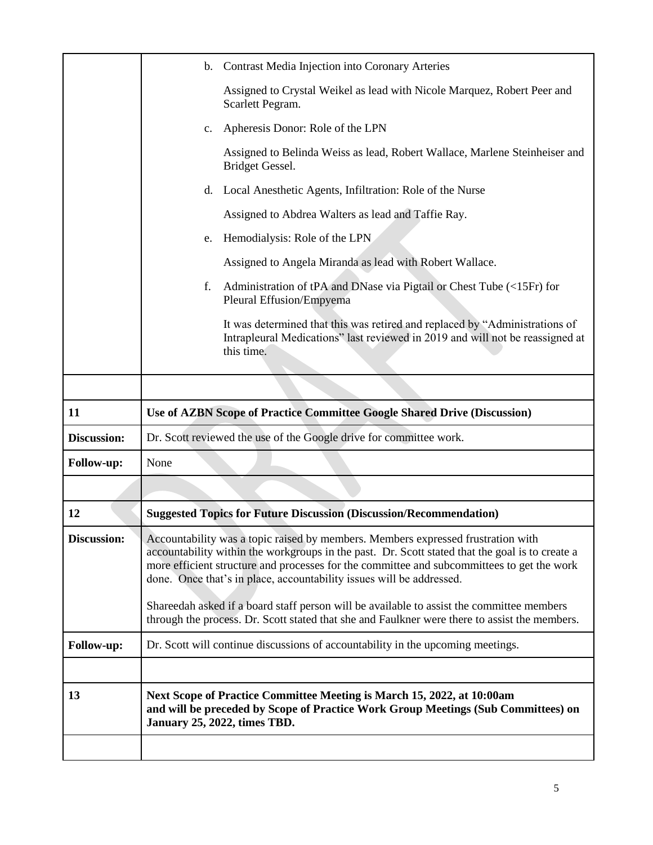|                    | $\mathbf{b}$ .                                                     | Contrast Media Injection into Coronary Arteries                                                                                                                                                                                                                                                                                                           |
|--------------------|--------------------------------------------------------------------|-----------------------------------------------------------------------------------------------------------------------------------------------------------------------------------------------------------------------------------------------------------------------------------------------------------------------------------------------------------|
|                    |                                                                    | Assigned to Crystal Weikel as lead with Nicole Marquez, Robert Peer and<br>Scarlett Pegram.                                                                                                                                                                                                                                                               |
|                    | c.                                                                 | Apheresis Donor: Role of the LPN                                                                                                                                                                                                                                                                                                                          |
|                    |                                                                    | Assigned to Belinda Weiss as lead, Robert Wallace, Marlene Steinheiser and<br>Bridget Gessel.                                                                                                                                                                                                                                                             |
|                    | d.                                                                 | Local Anesthetic Agents, Infiltration: Role of the Nurse                                                                                                                                                                                                                                                                                                  |
|                    |                                                                    | Assigned to Abdrea Walters as lead and Taffie Ray.                                                                                                                                                                                                                                                                                                        |
|                    | e.                                                                 | Hemodialysis: Role of the LPN                                                                                                                                                                                                                                                                                                                             |
|                    |                                                                    | Assigned to Angela Miranda as lead with Robert Wallace.                                                                                                                                                                                                                                                                                                   |
|                    | f.                                                                 | Administration of tPA and DNase via Pigtail or Chest Tube (<15Fr) for<br>Pleural Effusion/Empyema                                                                                                                                                                                                                                                         |
|                    |                                                                    | It was determined that this was retired and replaced by "Administrations of<br>Intrapleural Medications" last reviewed in 2019 and will not be reassigned at<br>this time.                                                                                                                                                                                |
|                    |                                                                    |                                                                                                                                                                                                                                                                                                                                                           |
| 11                 |                                                                    | <b>Use of AZBN Scope of Practice Committee Google Shared Drive (Discussion)</b>                                                                                                                                                                                                                                                                           |
|                    | Dr. Scott reviewed the use of the Google drive for committee work. |                                                                                                                                                                                                                                                                                                                                                           |
| <b>Discussion:</b> |                                                                    |                                                                                                                                                                                                                                                                                                                                                           |
| Follow-up:         | None                                                               |                                                                                                                                                                                                                                                                                                                                                           |
|                    |                                                                    |                                                                                                                                                                                                                                                                                                                                                           |
| 12                 |                                                                    | <b>Suggested Topics for Future Discussion (Discussion/Recommendation)</b>                                                                                                                                                                                                                                                                                 |
| <b>Discussion:</b> |                                                                    | Accountability was a topic raised by members. Members expressed frustration with<br>accountability within the workgroups in the past. Dr. Scott stated that the goal is to create a<br>more efficient structure and processes for the committee and subcommittees to get the work<br>done. Once that's in place, accountability issues will be addressed. |
|                    |                                                                    | Shareedah asked if a board staff person will be available to assist the committee members<br>through the process. Dr. Scott stated that she and Faulkner were there to assist the members.                                                                                                                                                                |
| Follow-up:         |                                                                    | Dr. Scott will continue discussions of accountability in the upcoming meetings.                                                                                                                                                                                                                                                                           |
|                    |                                                                    |                                                                                                                                                                                                                                                                                                                                                           |
| 13                 |                                                                    | Next Scope of Practice Committee Meeting is March 15, 2022, at 10:00am<br>and will be preceded by Scope of Practice Work Group Meetings (Sub Committees) on<br>January 25, 2022, times TBD.                                                                                                                                                               |